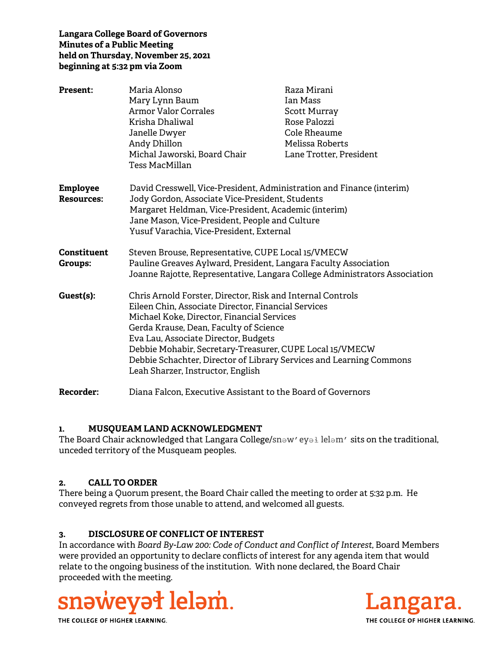### **Langara College Board of Governors Minutes of a Public Meeting held on Thursday, November 25, 2021 beginning at 5:32 pm via Zoom**

| <b>Present:</b>               | Maria Alonso<br>Mary Lynn Baum<br><b>Armor Valor Corrales</b><br>Krisha Dhaliwal<br>Janelle Dwyer<br>Andy Dhillon<br>Michal Jaworski, Board Chair<br>Tess MacMillan                                                                                                                                                                                                                                                       | Raza Mirani<br>Ian Mass<br><b>Scott Murray</b><br>Rose Palozzi<br>Cole Rheaume<br>Melissa Roberts<br>Lane Trotter, President |
|-------------------------------|---------------------------------------------------------------------------------------------------------------------------------------------------------------------------------------------------------------------------------------------------------------------------------------------------------------------------------------------------------------------------------------------------------------------------|------------------------------------------------------------------------------------------------------------------------------|
| Employee<br><b>Resources:</b> | David Cresswell, Vice-President, Administration and Finance (interim)<br>Jody Gordon, Associate Vice-President, Students<br>Margaret Heldman, Vice-President, Academic (interim)<br>Jane Mason, Vice-President, People and Culture<br>Yusuf Varachia, Vice-President, External                                                                                                                                            |                                                                                                                              |
| Constituent<br>Groups:        | Steven Brouse, Representative, CUPE Local 15/VMECW<br>Pauline Greaves Aylward, President, Langara Faculty Association<br>Joanne Rajotte, Representative, Langara College Administrators Association                                                                                                                                                                                                                       |                                                                                                                              |
| Guest(s):                     | Chris Arnold Forster, Director, Risk and Internal Controls<br>Eileen Chin, Associate Director, Financial Services<br>Michael Koke, Director, Financial Services<br>Gerda Krause, Dean, Faculty of Science<br>Eva Lau, Associate Director, Budgets<br>Debbie Mohabir, Secretary-Treasurer, CUPE Local 15/VMECW<br>Debbie Schachter, Director of Library Services and Learning Commons<br>Leah Sharzer, Instructor, English |                                                                                                                              |
| <b>Recorder:</b>              | Diana Falcon, Executive Assistant to the Board of Governors                                                                                                                                                                                                                                                                                                                                                               |                                                                                                                              |

### **1. MUSQUEAM LAND ACKNOWLEDGMENT**

The Board Chair acknowledged that Langara College/snәw′eyә lelәm′ sits on the traditional, unceded territory of the Musqueam peoples.

### **2. CALL TO ORDER**

There being a Quorum present, the Board Chair called the meeting to order at 5:32 p.m. He conveyed regrets from those unable to attend, and welcomed all guests.

# **3. DISCLOSURE OF CONFLICT OF INTEREST**

In accordance with *Board By-Law 200: Code of Conduct and Conflict of Interest*, Board Members were provided an opportunity to declare conflicts of interest for any agenda item that would relate to the ongoing business of the institution. With none declared, the Board Chair proceeded with the meeting.



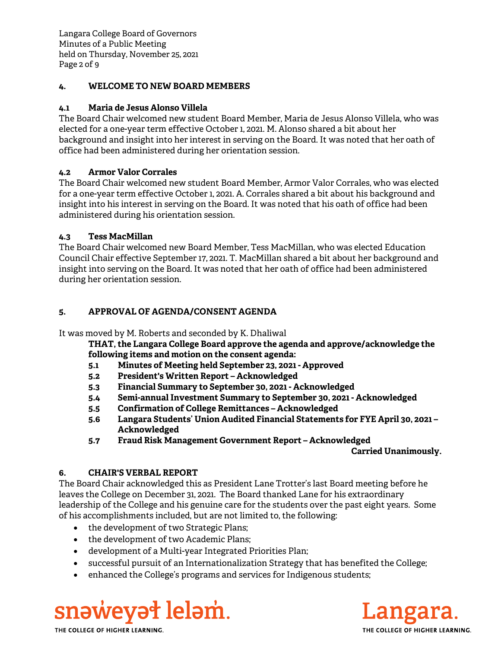Langara College Board of Governors Minutes of a Public Meeting held on Thursday, November 25, 2021 Page 2 of 9

### **4. WELCOME TO NEW BOARD MEMBERS**

## **4.1 Maria de Jesus Alonso Villela**

The Board Chair welcomed new student Board Member, Maria de Jesus Alonso Villela, who was elected for a one-year term effective October 1, 2021. M. Alonso shared a bit about her background and insight into her interest in serving on the Board. It was noted that her oath of office had been administered during her orientation session.

## **4.2 Armor Valor Corrales**

The Board Chair welcomed new student Board Member, Armor Valor Corrales, who was elected for a one-year term effective October 1, 2021. A. Corrales shared a bit about his background and insight into his interest in serving on the Board. It was noted that his oath of office had been administered during his orientation session.

### **4.3 Tess MacMillan**

The Board Chair welcomed new Board Member, Tess MacMillan, who was elected Education Council Chair effective September 17, 2021. T. MacMillan shared a bit about her background and insight into serving on the Board. It was noted that her oath of office had been administered during her orientation session.

## **5. APPROVAL OF AGENDA/CONSENT AGENDA**

It was moved by M. Roberts and seconded by K. Dhaliwal

**THAT, the Langara College Board approve the agenda and approve/acknowledge the following items and motion on the consent agenda:**

- **5.1 Minutes of Meeting held September 23, 2021 Approved**
- **5.2 President's Written Report Acknowledged**
- **5.3 Financial Summary to September 30, 2021 Acknowledged**
- **5.4 Semi-annual Investment Summary to September 30, 2021 Acknowledged**
- **5.5 Confirmation of College Remittances Acknowledged**
- **5.6 Langara Students' Union Audited Financial Statements for FYE April 30, 2021 Acknowledged**
- **5.7 Fraud Risk Management Government Report Acknowledged**

### **Carried Unanimously.**

# **6. CHAIR'S VERBAL REPORT**

The Board Chair acknowledged this as President Lane Trotter's last Board meeting before he leaves the College on December 31, 2021. The Board thanked Lane for his extraordinary leadership of the College and his genuine care for the students over the past eight years. Some of his accomplishments included, but are not limited to, the following:

- the development of two Strategic Plans;
- the development of two Academic Plans;
- development of a Multi-year Integrated Priorities Plan;
- successful pursuit of an Internationalization Strategy that has benefited the College;
- enhanced the College's programs and services for Indigenous students;



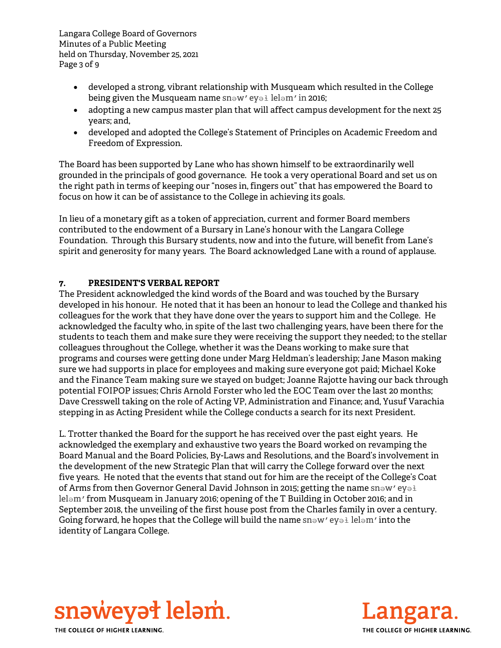Langara College Board of Governors Minutes of a Public Meeting held on Thursday, November 25, 2021 Page 3 of 9

- developed a strong, vibrant relationship with Musqueam which resulted in the College being given the Musqueam name snәw′eyәl lelәm′ in 2016;
- adopting a new campus master plan that will affect campus development for the next 25 years; and,
- developed and adopted the College's Statement of Principles on Academic Freedom and Freedom of Expression.

The Board has been supported by Lane who has shown himself to be extraordinarily well grounded in the principals of good governance. He took a very operational Board and set us on the right path in terms of keeping our "noses in, fingers out" that has empowered the Board to focus on how it can be of assistance to the College in achieving its goals.

In lieu of a monetary gift as a token of appreciation, current and former Board members contributed to the endowment of a Bursary in Lane's honour with the Langara College Foundation. Through this Bursary students, now and into the future, will benefit from Lane's spirit and generosity for many years. The Board acknowledged Lane with a round of applause.

## **7. PRESIDENT'S VERBAL REPORT**

The President acknowledged the kind words of the Board and was touched by the Bursary developed in his honour. He noted that it has been an honour to lead the College and thanked his colleagues for the work that they have done over the years to support him and the College. He acknowledged the faculty who, in spite of the last two challenging years, have been there for the students to teach them and make sure they were receiving the support they needed; to the stellar colleagues throughout the College, whether it was the Deans working to make sure that programs and courses were getting done under Marg Heldman's leadership; Jane Mason making sure we had supports in place for employees and making sure everyone got paid; Michael Koke and the Finance Team making sure we stayed on budget; Joanne Rajotte having our back through potential FOIPOP issues; Chris Arnold Forster who led the EOC Team over the last 20 months; Dave Cresswell taking on the role of Acting VP, Administration and Finance; and, Yusuf Varachia stepping in as Acting President while the College conducts a search for its next President.

L. Trotter thanked the Board for the support he has received over the past eight years. He acknowledged the exemplary and exhaustive two years the Board worked on revamping the Board Manual and the Board Policies, By-Laws and Resolutions, and the Board's involvement in the development of the new Strategic Plan that will carry the College forward over the next five years. He noted that the events that stand out for him are the receipt of the College's Coat of Arms from then Governor General David Johnson in 2015; getting the name snәw'eyә $\frac{1}{2}$ lel∍m' from Musqueam in January 2016; opening of the T Building in October 2016; and in September 2018, the unveiling of the first house post from the Charles family in over a century. Going forward, he hopes that the College will build the name  $sn_{\theta}$ <sup>'</sup> eyәł lelәm' into the identity of Langara College.



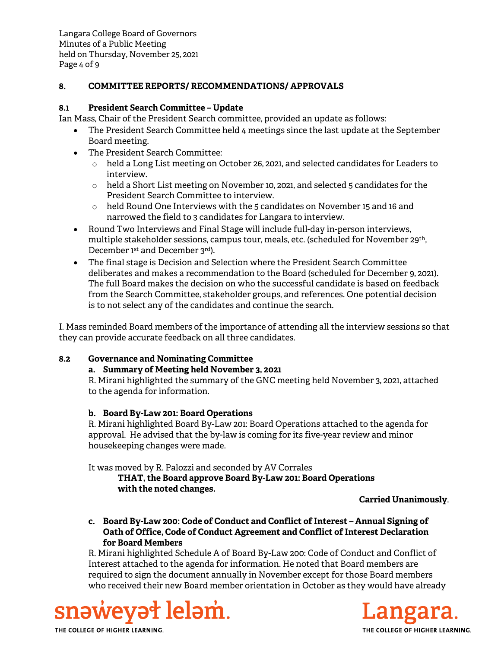Langara College Board of Governors Minutes of a Public Meeting held on Thursday, November 25, 2021 Page 4 of 9

## **8. COMMITTEE REPORTS/ RECOMMENDATIONS/ APPROVALS**

### **8.1 President Search Committee – Update**

Ian Mass, Chair of the President Search committee, provided an update as follows:

- The President Search Committee held 4 meetings since the last update at the September Board meeting.
- The President Search Committee:
	- $\circ$  held a Long List meeting on October 26, 2021, and selected candidates for Leaders to interview.
	- $\circ$  held a Short List meeting on November 10, 2021, and selected 5 candidates for the President Search Committee to interview.
	- $\circ$  held Round One Interviews with the 5 candidates on November 15 and 16 and narrowed the field to 3 candidates for Langara to interview.
- Round Two Interviews and Final Stage will include full-day in-person interviews, multiple stakeholder sessions, campus tour, meals, etc. (scheduled for November 29th, December 1<sup>st</sup> and December 3<sup>rd</sup>).
- The final stage is Decision and Selection where the President Search Committee deliberates and makes a recommendation to the Board (scheduled for December 9, 2021). The full Board makes the decision on who the successful candidate is based on feedback from the Search Committee, stakeholder groups, and references. One potential decision is to not select any of the candidates and continue the search.

I. Mass reminded Board members of the importance of attending all the interview sessions so that they can provide accurate feedback on all three candidates.

# **8.2 Governance and Nominating Committee**

### **a. Summary of Meeting held November 3, 2021**

R. Mirani highlighted the summary of the GNC meeting held November 3, 2021, attached to the agenda for information.

### **b. Board By-Law 201: Board Operations**

R. Mirani highlighted Board By-Law 201: Board Operations attached to the agenda for approval. He advised that the by-law is coming for its five-year review and minor housekeeping changes were made.

It was moved by R. Palozzi and seconded by AV Corrales

# **THAT, the Board approve Board By-Law 201: Board Operations with the noted changes.**

**Carried Unanimously**.

**c. Board By-Law 200: Code of Conduct and Conflict of Interest – Annual Signing of Oath of Office, Code of Conduct Agreement and Conflict of Interest Declaration for Board Members** 

R. Mirani highlighted Schedule A of Board By-Law 200: Code of Conduct and Conflict of Interest attached to the agenda for information. He noted that Board members are required to sign the document annually in November except for those Board members who received their new Board member orientation in October as they would have already



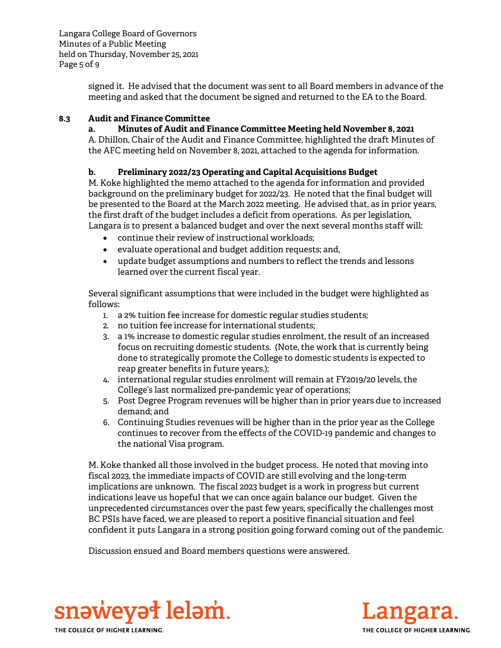Langara College Board of Governors Minutes of a Public Meeting held on Thursday, November 25, 2021 Page 5 of 9

> signed it. He advised that the document was sent to all Board members in advance of the meeting and asked that the document be signed and returned to the EA to the Board.

## **8.3 Audit and Finance Committee**

### **a. Minutes of Audit and Finance Committee Meeting held November 8, 2021**

A. Dhillon, Chair of the Audit and Finance Committee, highlighted the draft Minutes of the AFC meeting held on November 8, 2021, attached to the agenda for information.

## **b. Preliminary 2022/23 Operating and Capital Acquisitions Budget**

M. Koke highlighted the memo attached to the agenda for information and provided background on the preliminary budget for 2022/23. He noted that the final budget will be presented to the Board at the March 2022 meeting. He advised that, as in prior years, the first draft of the budget includes a deficit from operations. As per legislation, Langara is to present a balanced budget and over the next several months staff will:

- continue their review of instructional workloads;
- evaluate operational and budget addition requests; and,
- update budget assumptions and numbers to reflect the trends and lessons learned over the current fiscal year.

Several significant assumptions that were included in the budget were highlighted as follows:

- 1. a 2% tuition fee increase for domestic regular studies students;
- 2. no tuition fee increase for international students;
- 3. a 1% increase to domestic regular studies enrolment, the result of an increased focus on recruiting domestic students. (Note, the work that is currently being done to strategically promote the College to domestic students is expected to reap greater benefits in future years.);
- 4. international regular studies enrolment will remain at FY2019/20 levels, the College's last normalized pre-pandemic year of operations;
- 5. Post Degree Program revenues will be higher than in prior years due to increased demand; and
- 6. Continuing Studies revenues will be higher than in the prior year as the College continues to recover from the effects of the COVID-19 pandemic and changes to the national Visa program.

M. Koke thanked all those involved in the budget process. He noted that moving into fiscal 2023, the immediate impacts of COVID are still evolving and the long-term implications are unknown. The fiscal 2023 budget is a work in progress but current indications leave us hopeful that we can once again balance our budget. Given the unprecedented circumstances over the past few years, specifically the challenges most BC PSIs have faced, we are pleased to report a positive financial situation and feel confident it puts Langara in a strong position going forward coming out of the pandemic.

Discussion ensued and Board members questions were answered.



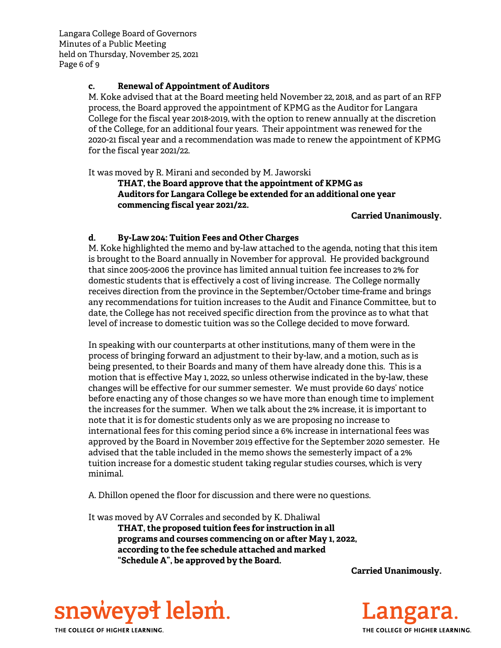Langara College Board of Governors Minutes of a Public Meeting held on Thursday, November 25, 2021 Page 6 of 9

### **c. Renewal of Appointment of Auditors**

M. Koke advised that at the Board meeting held November 22, 2018, and as part of an RFP process, the Board approved the appointment of KPMG as the Auditor for Langara College for the fiscal year 2018-2019, with the option to renew annually at the discretion of the College, for an additional four years. Their appointment was renewed for the 2020-21 fiscal year and a recommendation was made to renew the appointment of KPMG for the fiscal year 2021/22.

It was moved by R. Mirani and seconded by M. Jaworski

**THAT, the Board approve that the appointment of KPMG as Auditors for Langara College be extended for an additional one year commencing fiscal year 2021/22.**

#### **Carried Unanimously.**

## **d. By-Law 204: Tuition Fees and Other Charges**

M. Koke highlighted the memo and by-law attached to the agenda, noting that this item is brought to the Board annually in November for approval. He provided background that since 2005-2006 the province has limited annual tuition fee increases to 2% for domestic students that is effectively a cost of living increase. The College normally receives direction from the province in the September/October time-frame and brings any recommendations for tuition increases to the Audit and Finance Committee, but to date, the College has not received specific direction from the province as to what that level of increase to domestic tuition was so the College decided to move forward.

In speaking with our counterparts at other institutions, many of them were in the process of bringing forward an adjustment to their by-law, and a motion, such as is being presented, to their Boards and many of them have already done this. This is a motion that is effective May 1, 2022, so unless otherwise indicated in the by-law, these changes will be effective for our summer semester. We must provide 60 days' notice before enacting any of those changes so we have more than enough time to implement the increases for the summer. When we talk about the 2% increase, it is important to note that it is for domestic students only as we are proposing no increase to international fees for this coming period since a 6% increase in international fees was approved by the Board in November 2019 effective for the September 2020 semester. He advised that the table included in the memo shows the semesterly impact of a 2% tuition increase for a domestic student taking regular studies courses, which is very minimal.

A. Dhillon opened the floor for discussion and there were no questions.

It was moved by AV Corrales and seconded by K. Dhaliwal

 **THAT, the proposed tuition fees for instruction in all programs and courses commencing on or after May 1, 2022, according to the fee schedule attached and marked "Schedule A", be approved by the Board.** 

**Carried Unanimously.** 



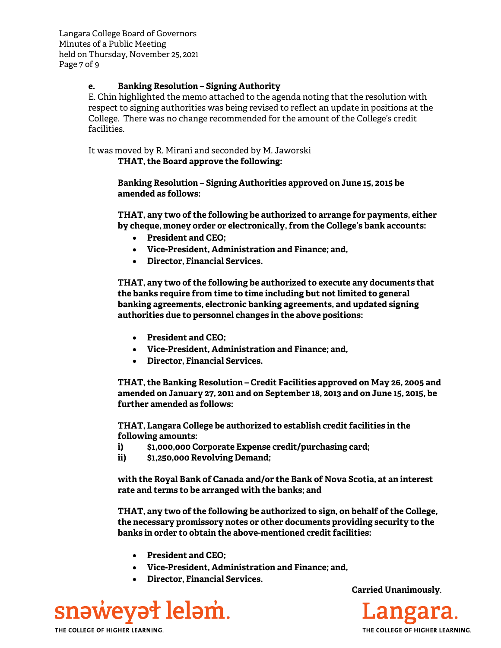Langara College Board of Governors Minutes of a Public Meeting held on Thursday, November 25, 2021 Page 7 of 9

### **e. Banking Resolution – Signing Authority**

E. Chin highlighted the memo attached to the agenda noting that the resolution with respect to signing authorities was being revised to reflect an update in positions at the College. There was no change recommended for the amount of the College's credit facilities.

It was moved by R. Mirani and seconded by M. Jaworski **THAT, the Board approve the following:** 

> **Banking Resolution – Signing Authorities approved on June 15, 2015 be amended as follows:**

**THAT, any two of the following be authorized to arrange for payments, either by cheque, money order or electronically, from the College's bank accounts:** 

- **President and CEO;**
- **Vice-President, Administration and Finance; and,**
- **Director, Financial Services.**

**THAT, any two of the following be authorized to execute any documents that the banks require from time to time including but not limited to general banking agreements, electronic banking agreements, and updated signing authorities due to personnel changes in the above positions:** 

- **President and CEO;**
- **Vice-President, Administration and Finance; and,**
- **Director, Financial Services.**

**THAT, the Banking Resolution – Credit Facilities approved on May 26, 2005 and amended on January 27, 2011 and on September 18, 2013 and on June 15, 2015, be further amended as follows:** 

**THAT, Langara College be authorized to establish credit facilities in the following amounts:** 

- **i) \$1,000,000 Corporate Expense credit/purchasing card;**
- **ii) \$1,250,000 Revolving Demand;**

**with the Royal Bank of Canada and/or the Bank of Nova Scotia, at an interest rate and terms to be arranged with the banks; and** 

**THAT, any two of the following be authorized to sign, on behalf of the College, the necessary promissory notes or other documents providing security to the banks in order to obtain the above-mentioned credit facilities:** 

- **President and CEO;**
- **Vice-President, Administration and Finance; and,**
- **Director, Financial Services.**



**Carried Unanimously**.

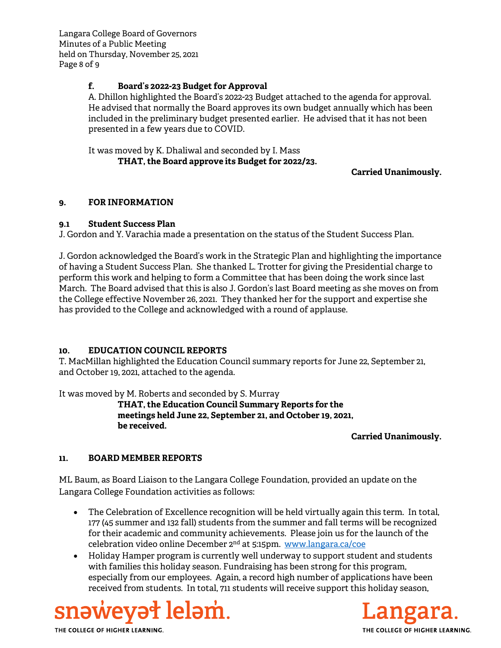Langara College Board of Governors Minutes of a Public Meeting held on Thursday, November 25, 2021 Page 8 of 9

## **f. Board's 2022-23 Budget for Approval**

A. Dhillon highlighted the Board's 2022-23 Budget attached to the agenda for approval. He advised that normally the Board approves its own budget annually which has been included in the preliminary budget presented earlier. He advised that it has not been presented in a few years due to COVID.

It was moved by K. Dhaliwal and seconded by I. Mass **THAT, the Board approve its Budget for 2022/23.** 

### **Carried Unanimously.**

### **9. FOR INFORMATION**

### **9.1 Student Success Plan**

J. Gordon and Y. Varachia made a presentation on the status of the Student Success Plan.

J. Gordon acknowledged the Board's work in the Strategic Plan and highlighting the importance of having a Student Success Plan. She thanked L. Trotter for giving the Presidential charge to perform this work and helping to form a Committee that has been doing the work since last March. The Board advised that this is also J. Gordon's last Board meeting as she moves on from the College effective November 26, 2021. They thanked her for the support and expertise she has provided to the College and acknowledged with a round of applause.

### **10. EDUCATION COUNCIL REPORTS**

T. MacMillan highlighted the Education Council summary reports for June 22, September 21, and October 19, 2021, attached to the agenda.

It was moved by M. Roberts and seconded by S. Murray

**THAT, the Education Council Summary Reports for the meetings held June 22, September 21, and October 19, 2021, be received.**

### **Carried Unanimously.**

### **11. BOARD MEMBER REPORTS**

ML Baum, as Board Liaison to the Langara College Foundation, provided an update on the Langara College Foundation activities as follows:

- The Celebration of Excellence recognition will be held virtually again this term. In total, 177 (45 summer and 132 fall) students from the summer and fall terms will be recognized for their academic and community achievements. Please join us for the launch of the celebration video online December 2nd at 5:15pm. www.langara.ca/coe
- Holiday Hamper program is currently well underway to support student and students with families this holiday season. Fundraising has been strong for this program, especially from our employees. Again, a record high number of applications have been received from students. In total, 711 students will receive support this holiday season,